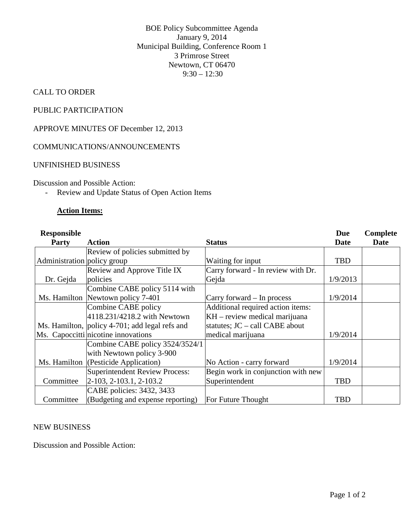BOE Policy Subcommittee Agenda January 9, 2014 Municipal Building, Conference Room 1 3 Primrose Street Newtown, CT 06470  $9:30 - 12:30$ 

## CALL TO ORDER

## PUBLIC PARTICIPATION

APPROVE MINUTES OF December 12, 2013

### COMMUNICATIONS/ANNOUNCEMENTS

#### UNFINISHED BUSINESS

Discussion and Possible Action:

- Review and Update Status of Open Action Items

## **Action Items:**

| <b>Responsible</b><br><b>Party</b> | Action                                         | <b>Status</b>                      | <b>Due</b><br>Date | Complete<br>Date |
|------------------------------------|------------------------------------------------|------------------------------------|--------------------|------------------|
|                                    | Review of policies submitted by                |                                    |                    |                  |
| Administration policy group        |                                                | Waiting for input                  | <b>TBD</b>         |                  |
|                                    | Review and Approve Title IX                    | Carry forward - In review with Dr. |                    |                  |
| Dr. Gejda                          | policies                                       | Gejda                              | 1/9/2013           |                  |
|                                    | Combine CABE policy 5114 with                  |                                    |                    |                  |
|                                    | Ms. Hamilton Newtown policy 7-401              | Carry forward – In process         | 1/9/2014           |                  |
|                                    | Combine CABE policy                            | Additional required action items:  |                    |                  |
|                                    | 4118.231/4218.2 with Newtown                   | $KH$ – review medical marijuana    |                    |                  |
|                                    | Ms. Hamilton, policy 4-701; add legal refs and | statutes; JC – call CABE about     |                    |                  |
|                                    | Ms. Capoccitti nicotine innovations            | medical marijuana                  | 1/9/2014           |                  |
|                                    | Combine CABE policy 3524/3524/1                |                                    |                    |                  |
|                                    | with Newtown policy 3-900                      |                                    |                    |                  |
|                                    | Ms. Hamilton (Pesticide Application)           | No Action - carry forward          | 1/9/2014           |                  |
|                                    | Superintendent Review Process:                 | Begin work in conjunction with new |                    |                  |
| Committee                          | $ 2-103, 2-103.1, 2-103.2$                     | Superintendent                     | <b>TBD</b>         |                  |
|                                    | CABE policies: 3432, 3433                      |                                    |                    |                  |
| Committee                          | (Budgeting and expense reporting)              | For Future Thought                 | <b>TBD</b>         |                  |

#### NEW BUSINESS

Discussion and Possible Action: